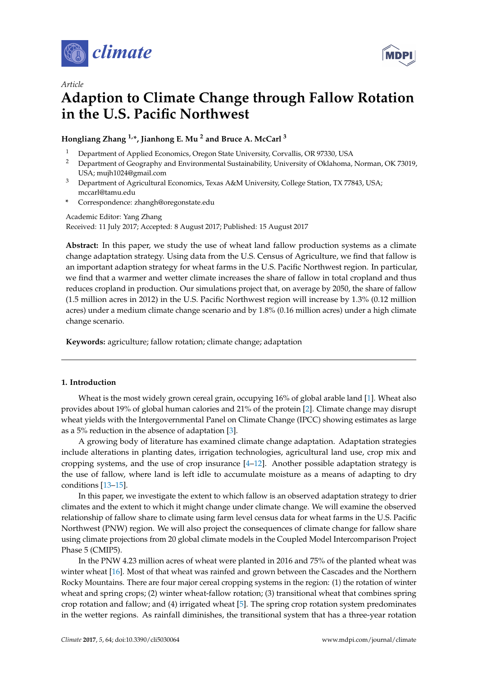



# **Adaption to Climate Change through Fallow Rotation in the U.S. Pacific Northwest**

## **Hongliang Zhang 1,\*, Jianhong E. Mu <sup>2</sup> and Bruce A. McCarl <sup>3</sup>**

- <sup>1</sup> Department of Applied Economics, Oregon State University, Corvallis, OR 97330, USA
- <sup>2</sup> Department of Geography and Environmental Sustainability, University of Oklahoma, Norman, OK 73019, USA; mujh1024@gmail.com
- <sup>3</sup> Department of Agricultural Economics, Texas A&M University, College Station, TX 77843, USA; mccarl@tamu.edu
- **\*** Correspondence: zhangh@oregonstate.edu

Academic Editor: Yang Zhang Received: 11 July 2017; Accepted: 8 August 2017; Published: 15 August 2017

Abstract: In this paper, we study the use of wheat land fallow production systems as a climate change adaptation strategy. Using data from the U.S. Census of Agriculture, we find that fallow is an important adaption strategy for wheat farms in the U.S. Pacific Northwest region. In particular, we find that a warmer and wetter climate increases the share of fallow in total cropland and thus reduces cropland in production. Our simulations project that, on average by 2050, the share of fallow (1.5 million acres in 2012) in the U.S. Pacific Northwest region will increase by 1.3% (0.12 million acres) under a medium climate change scenario and by 1.8% (0.16 million acres) under a high climate change scenario.

**Keywords:** agriculture; fallow rotation; climate change; adaptation

## **1. Introduction**

Wheat is the most widely grown cereal grain, occupying 16% of global arable land [\[1\]](#page-9-0). Wheat also provides about 19% of global human calories and 21% of the protein [\[2\]](#page-9-1). Climate change may disrupt wheat yields with the Intergovernmental Panel on Climate Change (IPCC) showing estimates as large as a 5% reduction in the absence of adaptation [\[3\]](#page-9-2).

A growing body of literature has examined climate change adaptation. Adaptation strategies include alterations in planting dates, irrigation technologies, agricultural land use, crop mix and cropping systems, and the use of crop insurance  $[4-12]$  $[4-12]$ . Another possible adaptation strategy is the use of fallow, where land is left idle to accumulate moisture as a means of adapting to dry conditions [\[13–](#page-9-5)[15\]](#page-9-6).

In this paper, we investigate the extent to which fallow is an observed adaptation strategy to drier climates and the extent to which it might change under climate change. We will examine the observed relationship of fallow share to climate using farm level census data for wheat farms in the U.S. Pacific Northwest (PNW) region. We will also project the consequences of climate change for fallow share using climate projections from 20 global climate models in the Coupled Model Intercomparison Project Phase 5 (CMIP5).

In the PNW 4.23 million acres of wheat were planted in 2016 and 75% of the planted wheat was winter wheat [\[16\]](#page-9-7). Most of that wheat was rainfed and grown between the Cascades and the Northern Rocky Mountains. There are four major cereal cropping systems in the region: (1) the rotation of winter wheat and spring crops; (2) winter wheat-fallow rotation; (3) transitional wheat that combines spring crop rotation and fallow; and (4) irrigated wheat [\[5\]](#page-9-8). The spring crop rotation system predominates in the wetter regions. As rainfall diminishes, the transitional system that has a three-year rotation

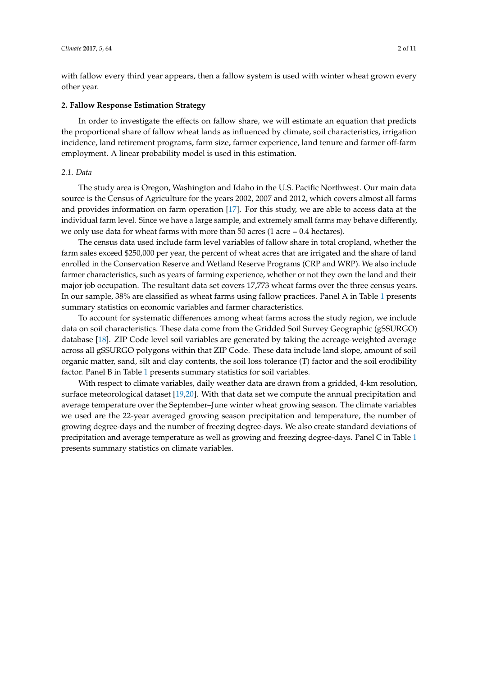with fallow every third year appears, then a fallow system is used with winter wheat grown every other year.

#### **2. Fallow Response Estimation Strategy**

In order to investigate the effects on fallow share, we will estimate an equation that predicts the proportional share of fallow wheat lands as influenced by climate, soil characteristics, irrigation incidence, land retirement programs, farm size, farmer experience, land tenure and farmer off-farm employment. A linear probability model is used in this estimation.

## *2.1. Data*

The study area is Oregon, Washington and Idaho in the U.S. Pacific Northwest. Our main data source is the Census of Agriculture for the years 2002, 2007 and 2012, which covers almost all farms and provides information on farm operation [\[17\]](#page-9-9). For this study, we are able to access data at the individual farm level. Since we have a large sample, and extremely small farms may behave differently, we only use data for wheat farms with more than  $50$  acres (1 acre = 0.4 hectares).

The census data used include farm level variables of fallow share in total cropland, whether the farm sales exceed \$250,000 per year, the percent of wheat acres that are irrigated and the share of land enrolled in the Conservation Reserve and Wetland Reserve Programs (CRP and WRP). We also include farmer characteristics, such as years of farming experience, whether or not they own the land and their major job occupation. The resultant data set covers 17,773 wheat farms over the three census years. In our sample, 38% are classified as wheat farms using fallow practices. Panel A in Table [1](#page-2-0) presents summary statistics on economic variables and farmer characteristics.

To account for systematic differences among wheat farms across the study region, we include data on soil characteristics. These data come from the Gridded Soil Survey Geographic (gSSURGO) database [\[18\]](#page-9-10). ZIP Code level soil variables are generated by taking the acreage-weighted average across all gSSURGO polygons within that ZIP Code. These data include land slope, amount of soil organic matter, sand, silt and clay contents, the soil loss tolerance (T) factor and the soil erodibility factor. Panel B in Table [1](#page-2-0) presents summary statistics for soil variables.

With respect to climate variables, daily weather data are drawn from a gridded, 4-km resolution, surface meteorological dataset [\[19](#page-9-11)[,20\]](#page-9-12). With that data set we compute the annual precipitation and average temperature over the September–June winter wheat growing season. The climate variables we used are the 22-year averaged growing season precipitation and temperature, the number of growing degree-days and the number of freezing degree-days. We also create standard deviations of precipitation and average temperature as well as growing and freezing degree-days. Panel C in Table [1](#page-2-0) presents summary statistics on climate variables.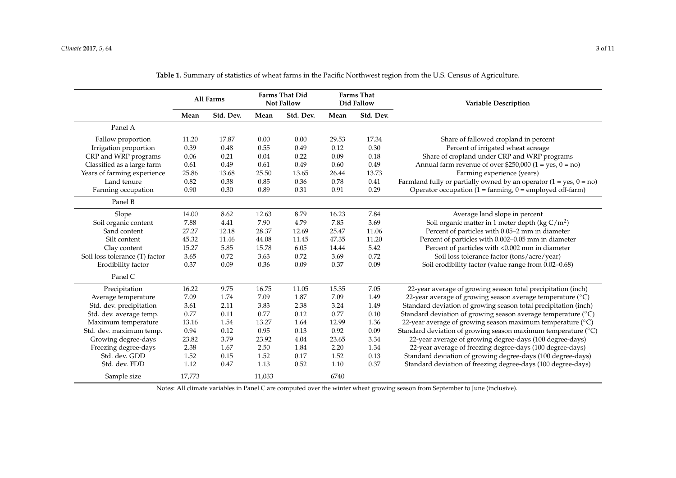|                                | All Farms |           | <b>Farms That Did</b><br><b>Not Fallow</b> |           | Farms That<br>Did Fallow |           | <b>Variable Description</b>                                           |
|--------------------------------|-----------|-----------|--------------------------------------------|-----------|--------------------------|-----------|-----------------------------------------------------------------------|
|                                | Mean      | Std. Dev. | Mean                                       | Std. Dev. | Mean                     | Std. Dev. |                                                                       |
| Panel A                        |           |           |                                            |           |                          |           |                                                                       |
| Fallow proportion              | 11.20     | 17.87     | 0.00                                       | 0.00      | 29.53                    | 17.34     | Share of fallowed cropland in percent                                 |
| Irrigation proportion          | 0.39      | 0.48      | 0.55                                       | 0.49      | 0.12                     | 0.30      | Percent of irrigated wheat acreage                                    |
| CRP and WRP programs           | 0.06      | 0.21      | 0.04                                       | 0.22      | 0.09                     | 0.18      | Share of cropland under CRP and WRP programs                          |
| Classified as a large farm     | 0.61      | 0.49      | 0.61                                       | 0.49      | 0.60                     | 0.49      | Annual farm revenue of over \$250,000 (1 = yes, 0 = no)               |
| Years of farming experience    | 25.86     | 13.68     | 25.50                                      | 13.65     | 26.44                    | 13.73     | Farming experience (years)                                            |
| Land tenure                    | 0.82      | 0.38      | 0.85                                       | 0.36      | 0.78                     | 0.41      | Farmland fully or partially owned by an operator $(1 = yes, 0 = no)$  |
| Farming occupation             | 0.90      | 0.30      | 0.89                                       | 0.31      | 0.91                     | 0.29      | Operator occupation (1 = farming, $0$ = employed off-farm)            |
| Panel B                        |           |           |                                            |           |                          |           |                                                                       |
| Slope                          | 14.00     | 8.62      | 12.63                                      | 8.79      | 16.23                    | 7.84      | Average land slope in percent                                         |
| Soil organic content           | 7.88      | 4.41      | 7.90                                       | 4.79      | 7.85                     | 3.69      | Soil organic matter in 1 meter depth (kg $C/m^2$ )                    |
| Sand content                   | 27.27     | 12.18     | 28.37                                      | 12.69     | 25.47                    | 11.06     | Percent of particles with 0.05-2 mm in diameter                       |
| Silt content                   | 45.32     | 11.46     | 44.08                                      | 11.45     | 47.35                    | 11.20     | Percent of particles with 0.002-0.05 mm in diameter                   |
| Clay content                   | 15.27     | 5.85      | 15.78                                      | 6.05      | 14.44                    | 5.42      | Percent of particles with <0.002 mm in diameter                       |
| Soil loss tolerance (T) factor | 3.65      | 0.72      | 3.63                                       | 0.72      | 3.69                     | 0.72      | Soil loss tolerance factor (tons/acre/year)                           |
| Erodibility factor             | 0.37      | 0.09      | 0.36                                       | 0.09      | 0.37                     | 0.09      | Soil erodibility factor (value range from 0.02-0.68)                  |
| Panel C                        |           |           |                                            |           |                          |           |                                                                       |
| Precipitation                  | 16.22     | 9.75      | 16.75                                      | 11.05     | 15.35                    | 7.05      | 22-year average of growing season total precipitation (inch)          |
| Average temperature            | 7.09      | 1.74      | 7.09                                       | 1.87      | 7.09                     | 1.49      | 22-year average of growing season average temperature ( $^{\circ}$ C) |
| Std. dev. precipitation        | 3.61      | 2.11      | 3.83                                       | 2.38      | 3.24                     | 1.49      | Standard deviation of growing season total precipitation (inch)       |
| Std. dev. average temp.        | 0.77      | 0.11      | 0.77                                       | 0.12      | 0.77                     | 0.10      | Standard deviation of growing season average temperature (°C)         |
| Maximum temperature            | 13.16     | 1.54      | 13.27                                      | 1.64      | 12.99                    | 1.36      | 22-year average of growing season maximum temperature ( $^{\circ}$ C) |
| Std. dev. maximum temp.        | 0.94      | 0.12      | 0.95                                       | 0.13      | 0.92                     | 0.09      | Standard deviation of growing season maximum temperature (°C)         |
| Growing degree-days            | 23.82     | 3.79      | 23.92                                      | 4.04      | 23.65                    | 3.34      | 22-year average of growing degree-days (100 degree-days)              |
| Freezing degree-days           | 2.38      | 1.67      | 2.50                                       | 1.84      | 2.20                     | 1.34      | 22-year average of freezing degree-days (100 degree-days)             |
| Std. dev. GDD                  | 1.52      | 0.15      | 1.52                                       | 0.17      | 1.52                     | 0.13      | Standard deviation of growing degree-days (100 degree-days)           |
| Std. dev. FDD                  | 1.12      | 0.47      | 1.13                                       | 0.52      | 1.10                     | 0.37      | Standard deviation of freezing degree-days (100 degree-days)          |
| Sample size                    | 17,773    |           | 11,033                                     |           | 6740                     |           |                                                                       |

| Table 1. Summary of statistics of wheat farms in the Pacific Northwest region from the U.S. Census of Agriculture. |  |  |
|--------------------------------------------------------------------------------------------------------------------|--|--|
|--------------------------------------------------------------------------------------------------------------------|--|--|

<span id="page-2-0"></span>Notes: All climate variables in Panel C are computed over the winter wheat growing season from September to June (inclusive).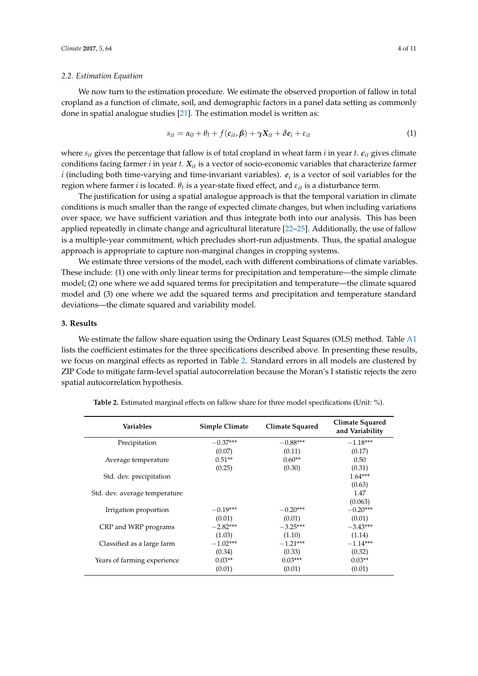#### *2.2. Estimation Equation*

We now turn to the estimation procedure. We estimate the observed proportion of fallow in total cropland as a function of climate, soil, and demographic factors in a panel data setting as commonly done in spatial analogue studies [\[21\]](#page-9-13). The estimation model is written as:

$$
s_{it} = \alpha_0 + \theta_t + f(c_{it}, \beta) + \gamma X_{it} + \delta e_i + \varepsilon_{it}
$$
\n(1)

where *sit* gives the percentage that fallow is of total cropland in wheat farm *i* in year *t*. *cit* gives climate conditions facing farmer *i* in year *t*. *Xit* is a vector of socio-economic variables that characterize farmer *i* (including both time-varying and time-invariant variables).  $e_i$  is a vector of soil variables for the region where farmer *i* is located.  $θ_t$  is a year-state fixed effect, and  $\varepsilon_{it}$  is a disturbance term.

The justification for using a spatial analogue approach is that the temporal variation in climate conditions is much smaller than the range of expected climate changes, but when including variations over space, we have sufficient variation and thus integrate both into our analysis. This has been applied repeatedly in climate change and agricultural literature [\[22](#page-9-14)[–25\]](#page-10-0). Additionally, the use of fallow is a multiple-year commitment, which precludes short-run adjustments. Thus, the spatial analogue approach is appropriate to capture non-marginal changes in cropping systems.

We estimate three versions of the model, each with different combinations of climate variables. These include: (1) one with only linear terms for precipitation and temperature—the simple climate model; (2) one where we add squared terms for precipitation and temperature—the climate squared model and (3) one where we add the squared terms and precipitation and temperature standard deviations—the climate squared and variability model.

#### **3. Results**

We estimate the fallow share equation using the Ordinary Least Squares (OLS) method. Table [A1](#page-8-0) lists the coefficient estimates for the three specifications described above. In presenting these results, we focus on marginal effects as reported in Table [2.](#page-4-0) Standard errors in all models are clustered by ZIP Code to mitigate farm-level spatial autocorrelation because the Moran's I statistic rejects the zero spatial autocorrelation hypothesis.

| Variables                     | Simple Climate | Climate Squared | Climate Squared<br>and Variability |
|-------------------------------|----------------|-----------------|------------------------------------|
| Precipitation                 | $-0.37***$     | $-0.88***$      | $-1.18***$                         |
|                               | (0.07)         | (0.11)          | (0.17)                             |
| Average temperature           | $0.51**$       | $0.60**$        | 0.50                               |
|                               | (0.25)         | (0.30)          | (0.31)                             |
| Std. dev. precipitation       |                |                 | $1.64***$                          |
|                               |                |                 | (0.63)                             |
| Std. dev. average temperature |                |                 | 1.47                               |
|                               |                |                 | (0.063)                            |
| Irrigation proportion         | $-0.19***$     | $-0.20***$      | $-0.20***$                         |
|                               | (0.01)         | (0.01)          | (0.01)                             |
| CRP and WRP programs          | $-2.82***$     | $-3.25***$      | $-3.43***$                         |
|                               | (1.03)         | (1.10)          | (1.14)                             |
| Classified as a large farm    | $-1.02***$     | $-1.21***$      | $-1.14***$                         |
|                               | (0.34)         | (0.33)          | (0.32)                             |
| Years of farming experience   | $0.03**$       | $0.03***$       | $0.03**$                           |
|                               | (0.01)         | (0.01)          | (0.01)                             |

**Table 2.** Estimated marginal effects on fallow share for three model specifications (Unit: %).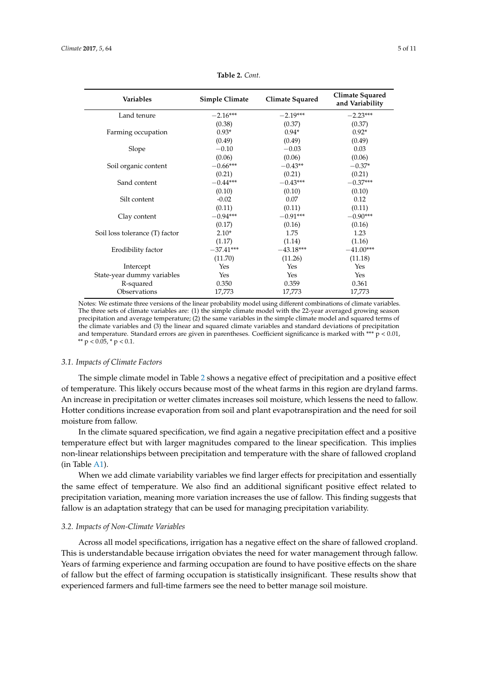<span id="page-4-0"></span>

| <b>Variables</b>               | <b>Simple Climate</b> | Climate Squared | Climate Squared<br>and Variability |
|--------------------------------|-----------------------|-----------------|------------------------------------|
| Land tenure                    | $-2.16***$            | $-2.19***$      | $-2.23***$                         |
|                                | (0.38)                | (0.37)          | (0.37)                             |
| Farming occupation             | $0.93*$               | $0.94*$         | $0.92*$                            |
|                                | (0.49)                | (0.49)          | (0.49)                             |
| Slope                          | $-0.10$               | $-0.03$         | 0.03                               |
|                                | (0.06)                | (0.06)          | (0.06)                             |
| Soil organic content           | $-0.66***$            | $-0.43**$       | $-0.37*$                           |
|                                | (0.21)                | (0.21)          | (0.21)                             |
| Sand content                   | $-0.44***$            | $-0.43***$      | $-0.37***$                         |
|                                | (0.10)                | (0.10)          | (0.10)                             |
| Silt content                   | $-0.02$               | 0.07            | 0.12                               |
|                                | (0.11)                | (0.11)          | (0.11)                             |
| Clay content                   | $-0.94***$            | $-0.91***$      | $-0.90***$                         |
|                                | (0.17)                | (0.16)          | (0.16)                             |
| Soil loss tolerance (T) factor | $2.10*$               | 1.75            | 1.23                               |
|                                | (1.17)                | (1.14)          | (1.16)                             |
| Erodibility factor             | $-37.41***$           | $-43.18***$     | $-41.00***$                        |
|                                | (11.70)               | (11.26)         | (11.18)                            |
| Intercept                      | Yes                   | Yes             | Yes                                |
| State-year dummy variables     | Yes                   | Yes             | Yes                                |
| R-squared                      | 0.350                 | 0.359           | 0.361                              |
| Observations                   | 17,773                | 17,773          | 17,773                             |

**Table 2.** *Cont.*

Notes: We estimate three versions of the linear probability model using different combinations of climate variables. The three sets of climate variables are: (1) the simple climate model with the 22-year averaged growing season precipitation and average temperature; (2) the same variables in the simple climate model and squared terms of the climate variables and (3) the linear and squared climate variables and standard deviations of precipitation and temperature. Standard errors are given in parentheses. Coefficient significance is marked with \*\*\*  $p < 0.01$ , \*\*  $p < 0.05$ , \*  $p < 0.1$ .

#### *3.1. Impacts of Climate Factors*

The simple climate model in Table [2](#page-4-0) shows a negative effect of precipitation and a positive effect of temperature. This likely occurs because most of the wheat farms in this region are dryland farms. An increase in precipitation or wetter climates increases soil moisture, which lessens the need to fallow. Hotter conditions increase evaporation from soil and plant evapotranspiration and the need for soil moisture from fallow.

In the climate squared specification, we find again a negative precipitation effect and a positive temperature effect but with larger magnitudes compared to the linear specification. This implies non-linear relationships between precipitation and temperature with the share of fallowed cropland (in Table [A1\)](#page-8-0).

When we add climate variability variables we find larger effects for precipitation and essentially the same effect of temperature. We also find an additional significant positive effect related to precipitation variation, meaning more variation increases the use of fallow. This finding suggests that fallow is an adaptation strategy that can be used for managing precipitation variability.

#### *3.2. Impacts of Non-Climate Variables*

Across all model specifications, irrigation has a negative effect on the share of fallowed cropland. This is understandable because irrigation obviates the need for water management through fallow. Years of farming experience and farming occupation are found to have positive effects on the share of fallow but the effect of farming occupation is statistically insignificant. These results show that experienced farmers and full-time farmers see the need to better manage soil moisture.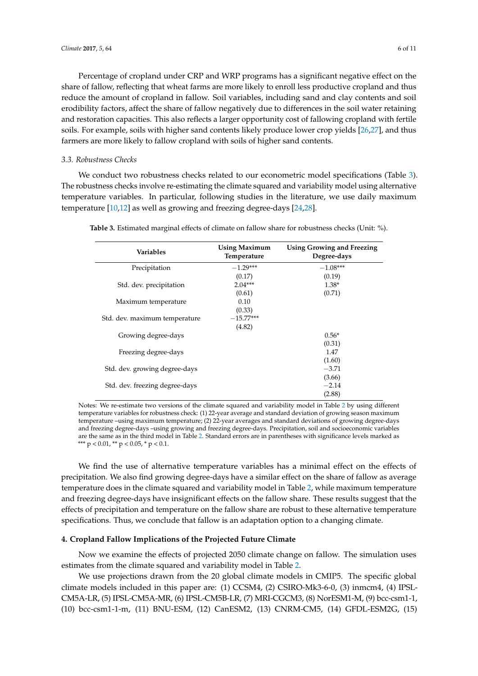Percentage of cropland under CRP and WRP programs has a significant negative effect on the share of fallow, reflecting that wheat farms are more likely to enroll less productive cropland and thus reduce the amount of cropland in fallow. Soil variables, including sand and clay contents and soil erodibility factors, affect the share of fallow negatively due to differences in the soil water retaining and restoration capacities. This also reflects a larger opportunity cost of fallowing cropland with fertile soils. For example, soils with higher sand contents likely produce lower crop yields [\[26](#page-10-1)[,27\]](#page-10-2), and thus farmers are more likely to fallow cropland with soils of higher sand contents.

#### *3.3. Robustness Checks*

We conduct two robustness checks related to our econometric model specifications (Table [3\)](#page-5-0). The robustness checks involve re-estimating the climate squared and variability model using alternative temperature variables. In particular, following studies in the literature, we use daily maximum temperature [\[10,](#page-9-15)[12\]](#page-9-4) as well as growing and freezing degree-days [\[24,](#page-10-3)[28\]](#page-10-4).

| Variables                      | <b>Using Maximum</b><br>Temperature | Using Growing and Freezing<br>Degree-days |  |
|--------------------------------|-------------------------------------|-------------------------------------------|--|
| Precipitation                  | $-1.29***$                          | $-1.08***$                                |  |
|                                | (0.17)                              | (0.19)                                    |  |
| Std. dev. precipitation        | $2.04***$                           | $1.38*$                                   |  |
|                                | (0.61)                              | (0.71)                                    |  |
| Maximum temperature            | 0.10                                |                                           |  |
|                                | (0.33)                              |                                           |  |
| Std. dev. maximum temperature  | $-15.77***$                         |                                           |  |
|                                | (4.82)                              |                                           |  |
| Growing degree-days            |                                     | $0.56*$                                   |  |
|                                |                                     | (0.31)                                    |  |
| Freezing degree-days           |                                     | 1.47                                      |  |
|                                |                                     | (1.60)                                    |  |
| Std. dev. growing degree-days  |                                     | $-3.71$                                   |  |
|                                |                                     | (3.66)                                    |  |
| Std. dev. freezing degree-days |                                     | $-2.14$                                   |  |
|                                |                                     | (2.88)                                    |  |

<span id="page-5-0"></span>**Table 3.** Estimated marginal effects of climate on fallow share for robustness checks (Unit: %).

Notes: We re-estimate two versions of the climate squared and variability model in Table [2](#page-4-0) by using different temperature variables for robustness check: (1) 22-year average and standard deviation of growing season maximum temperature –using maximum temperature; (2) 22-year averages and standard deviations of growing degree-days and freezing degree-days –using growing and freezing degree-days. Precipitation, soil and socioeconomic variables are the same as in the third model in Table [2.](#page-4-0) Standard errors are in parentheses with significance levels marked as \*\*\*  $p < 0.01$ , \*\*  $p < 0.05$ , \*  $p < 0.1$ .

We find the use of alternative temperature variables has a minimal effect on the effects of precipitation. We also find growing degree-days have a similar effect on the share of fallow as average temperature does in the climate squared and variability model in Table [2,](#page-4-0) while maximum temperature and freezing degree-days have insignificant effects on the fallow share. These results suggest that the effects of precipitation and temperature on the fallow share are robust to these alternative temperature specifications. Thus, we conclude that fallow is an adaptation option to a changing climate.

#### **4. Cropland Fallow Implications of the Projected Future Climate**

Now we examine the effects of projected 2050 climate change on fallow. The simulation uses estimates from the climate squared and variability model in Table [2.](#page-4-0)

We use projections drawn from the 20 global climate models in CMIP5. The specific global climate models included in this paper are: (1) CCSM4, (2) CSIRO-Mk3-6-0, (3) inmcm4, (4) IPSL-CM5A-LR, (5) IPSL-CM5A-MR, (6) IPSL-CM5B-LR, (7) MRI-CGCM3, (8) NorESM1-M, (9) bcc-csm1-1, (10) bcc-csm1-1-m, (11) BNU-ESM, (12) CanESM2, (13) CNRM-CM5, (14) GFDL-ESM2G, (15)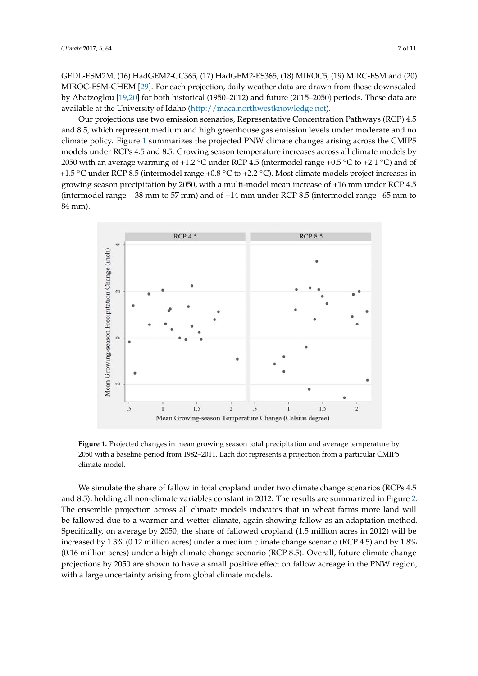GFDL-ESM2M, (16) HadGEM2-CC365, (17) HadGEM2-ES365, (18) MIROC5, (19) MIRC-ESM and (20) MIROC-ESM-CHEM [\[29\]](#page-10-5). For each projection, daily weather data are drawn from those downscaled by Abatzoglou [\[19,](#page-9-11)[20\]](#page-9-12) for both historical (1950–2012) and future (2015–2050) periods. These data are available at the University of Idaho [\(http://maca.northwestknowledge.net\)](http://maca.northwestknowledge.net).

Our projections use two emission scenarios, Representative Concentration Pathways (RCP) 4.5 and 8.5, which represent medium and high greenhouse gas emission levels under moderate and no climate policy. Figure [1](#page-6-0) summarizes the projected PNW climate changes arising across the CMIP5 ematic policy. Figure 1 summarizes the projected PNW climate changes arising deress the CMIP5 models by models under RCPs 4.5 and 8.5. Growing season temperature increases across all climate models by 2050 with an average warming of +1.2 ◦C under RCP 4.5 (intermodel range +0.5 ◦C to +2.1 ◦C) and of 2050 with an average warming of +1.2 °C under RCP 4.5 (intermodel range +0.5 °C to +2.1 °C) and of +1.5 °C under RCP 8.5 (intermodel range +0.8 °C to +2.2 °C). Most climate models project increases in growing season precipitation by 2050, with a multi-model mean increase of +16 mm under  $\mathrm{RCP}\,4.5$ (intermodel range −38 mm to 57 mm) and of +14 mm under RCP 8.5 (intermodel range –65 mm to 4.5 (intermodel range −38 mm to 57 mm) and of +14 mm under RCP 8.5 (intermodel range –65 mm to 84 mm). 84 mm). models under RCPs 4.5 and 8.5. Growing season temperature increases across all climate models

<span id="page-6-0"></span>

**Figure 1.** Projected changes in mean growing season total precipitation and average temperature by **Figure 1.** Projected changes in mean growing season total precipitation and average temperature by 2050 with a baseline period from 1982–2011. Each dot represents a projection from a particular CMIP5 2050 with a baseline period from 1982–2011. Each dot represents a projection from a particular CMIP5 climate model. climate model.

We simulate the share of fallow in total cropland under two climate change scenarios (RCPs 4.5 We simulate the share of fallow in total cropland under two climate change scenarios (RCPs 4.5 and 8.5), holding all non-climate variables constant in 2012. The results are summarized in Figure 2. and 8.5), holding all non-climate variables constant in 2012. The results are summarized in Figure [2.](#page-7-0)  $T_{\text{tot}}$  energy across all climate models in where  $\epsilon$  is that in which is a farm of the definition of the indicates that is a The ensemble projection across all climate models indicates that in wheat farms more land will be fallowed due to a warmer and wetter climate, again showing fallow as an adaptation method. Specifically, on average by 2050, the share of fallowed cropland  $(1.5 \text{ million acres in } 2012)$  will be increased by 1.3% (0.12 million acres) under a medium climate change scenario (RCP 4.5) and by 1.8% (0.16 million acres) under a high climate change scenario (RCP 8.5). Overall, future climate change projections by 2050 are shown to have a small positive effect on fallow acreage in the PNW region, with a large uncertainty arising from global climate models.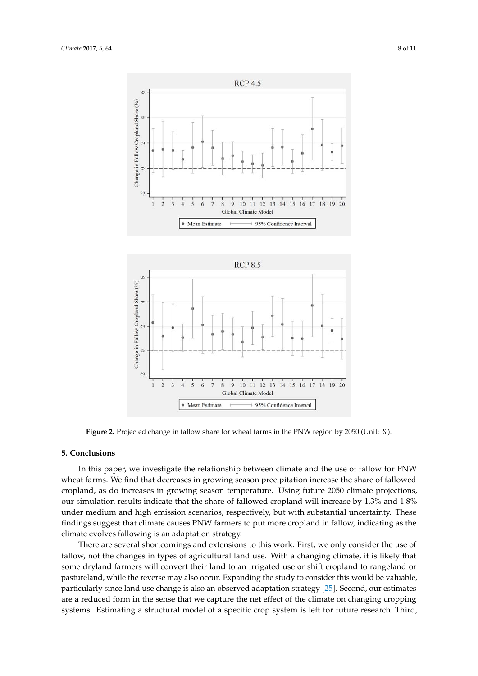<span id="page-7-0"></span>

**Figure 2.** Projected change in fallow share for wheat farms in the PNW region by 2050 (Unit: %). **Figure 2.** Projected change in fallow share for wheat farms in the PNW region by 2050 (Unit: %).

# **5. Conclusions 5. Conclusions**

In this paper, we investigate the relationship between climate and the use of fallow for PNW In this paper, we investigate the relationship between climate and the use of fallow for PNW wheat farms. We find that decreases in growing season precipitation increase the share of fallowed cropland, as do increases in growing season temperature. Using future 2050 climate projections, simulation results indicate that the share of fallowed cropland will increase by 1.3% and 1.8% under our simulation results indicate that the share of fallowed cropland will increase by 1.3% and 1.8%  $m_{\text{min}}$  and  $m_{\text{min}}$  and  $m_{\text{min}}$  and  $m_{\text{min}}$  and  $m_{\text{min}}$  and  $m_{\text{min}}$  and  $m_{\text{min}}$  and  $m_{\text{min}}$ under medium and high emission scenarios, respectively, but with substantial uncertainty. These findings suggest that climate causes PNW farmers to put more cropland in fallow, indicating as the climate evolves fallowing is an adaptation strategy.

There are several shortcomings and extensions to this work. First, we only consider the use of fallow, not the changes in types of agricultural land use. With a changing climate, it is likely that some dryland farmers will convert their land to an irrigated use or shift cropland to rangeland or pastureland, while the reverse may also occur. Expanding the study to consider this would be valuable, particularly since land use change is also an observed adaptation strategy [\[25\]](#page-10-0). Second, our estimates are a reduced form in the sense that we capture the net effect of the climate on changing cropping systems. Estimating a structural model of a specific crop system is left for future research. Third,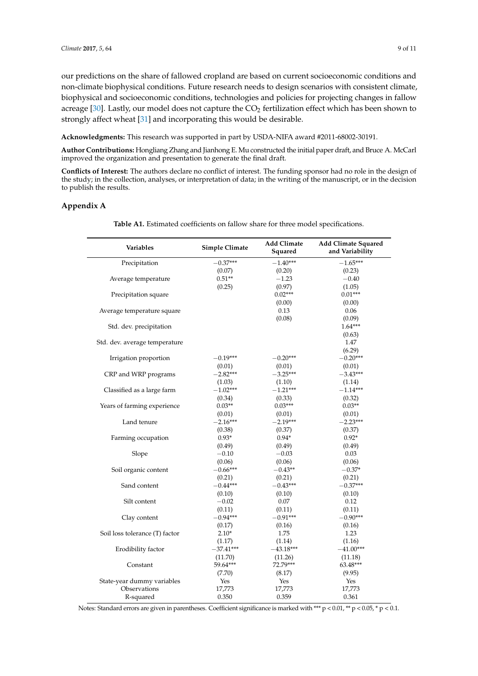our predictions on the share of fallowed cropland are based on current socioeconomic conditions and non-climate biophysical conditions. Future research needs to design scenarios with consistent climate, biophysical and socioeconomic conditions, technologies and policies for projecting changes in fallow acreage [\[30\]](#page-10-6). Lastly, our model does not capture the  $CO<sub>2</sub>$  fertilization effect which has been shown to strongly affect wheat [\[31\]](#page-10-7) and incorporating this would be desirable.

**Acknowledgments:** This research was supported in part by USDA-NIFA award #2011-68002-30191.

**Author Contributions:** Hongliang Zhang and Jianhong E. Mu constructed the initial paper draft, and Bruce A. McCarl improved the organization and presentation to generate the final draft.

**Conflicts of Interest:** The authors declare no conflict of interest. The funding sponsor had no role in the design of the study; in the collection, analyses, or interpretation of data; in the writing of the manuscript, or in the decision to publish the results.

### <span id="page-8-0"></span>**Appendix A**

| Variables                      | Simple Climate       | <b>Add Climate</b><br>Squared | <b>Add Climate Squared</b><br>and Variability |
|--------------------------------|----------------------|-------------------------------|-----------------------------------------------|
| Precipitation                  | $-0.37***$           | $-1.40***$                    | $-1.65***$                                    |
|                                | (0.07)               | (0.20)                        | (0.23)                                        |
| Average temperature            | $0.51**$             | $-1.23$                       | $-0.40$                                       |
|                                | (0.25)               | (0.97)                        | (1.05)                                        |
| Precipitation square           |                      | $0.02***$                     | $0.01***$                                     |
|                                |                      | (0.00)                        | (0.00)                                        |
| Average temperature square     |                      | 0.13                          | 0.06                                          |
|                                |                      | (0.08)                        | (0.09)                                        |
| Std. dev. precipitation        |                      |                               | $1.64***$                                     |
|                                |                      |                               | (0.63)                                        |
| Std. dev. average temperature  |                      |                               | 1.47                                          |
|                                |                      |                               | (6.29)                                        |
| Irrigation proportion          | $-0.19***$           | $-0.20***$                    | $-0.20***$                                    |
|                                | (0.01)               | (0.01)                        | (0.01)                                        |
| CRP and WRP programs           | $-2.82***$           | $-3.25***$                    | $-3.43***$                                    |
|                                | (1.03)               | (1.10)                        | (1.14)                                        |
| Classified as a large farm     | $-1.02***$           | $-1.21***$                    | $-1.14***$                                    |
|                                | (0.34)               | (0.33)                        | (0.32)                                        |
| Years of farming experience    | $0.03**$             | $0.03***$                     | $0.03**$                                      |
| Land tenure                    | (0.01)<br>$-2.16***$ | (0.01)<br>$-2.19***$          | (0.01)                                        |
|                                |                      |                               | $-2.23***$                                    |
|                                | (0.38)<br>$0.93*$    | (0.37)<br>$0.94*$             | (0.37)<br>$0.92*$                             |
| Farming occupation             | (0.49)               | (0.49)                        | (0.49)                                        |
| Slope                          | $-0.10$              | $-0.03$                       | 0.03                                          |
|                                | (0.06)               | (0.06)                        | (0.06)                                        |
| Soil organic content           | $-0.66***$           | $-0.43**$                     | $-0.37*$                                      |
|                                | (0.21)               | (0.21)                        | (0.21)                                        |
| Sand content                   | $-0.44***$           | $-0.43***$                    | $-0.37***$                                    |
|                                | (0.10)               | (0.10)                        | (0.10)                                        |
| Silt content                   | $-0.02$              | 0.07                          | 0.12                                          |
|                                | (0.11)               | (0.11)                        | (0.11)                                        |
| Clay content                   | $-0.94***$           | $-0.91***$                    | $-0.90***$                                    |
|                                | (0.17)               | (0.16)                        | (0.16)                                        |
| Soil loss tolerance (T) factor | $2.10*$              | 1.75                          | 1.23                                          |
|                                | (1.17)               | (1.14)                        | (1.16)                                        |
| Erodibility factor             | $-37.41***$          | $-43.18***$                   | $-41.00***$                                   |
|                                | (11.70)              | (11.26)                       | (11.18)                                       |
| Constant                       | 59.64***             | 72.79***                      | 63.48***                                      |
|                                | (7.70)               | (8.17)                        | (9.95)                                        |
| State-year dummy variables     | Yes                  | Yes                           | Yes                                           |
| Observations                   | 17,773               | 17,773                        | 17,773                                        |
| R-squared                      | 0.350                | 0.359                         | 0.361                                         |

**Table A1.** Estimated coefficients on fallow share for three model specifications.

Notes: Standard errors are given in parentheses. Coefficient significance is marked with \*\*\* p < 0.01, \*\* p < 0.05, \* p < 0.1.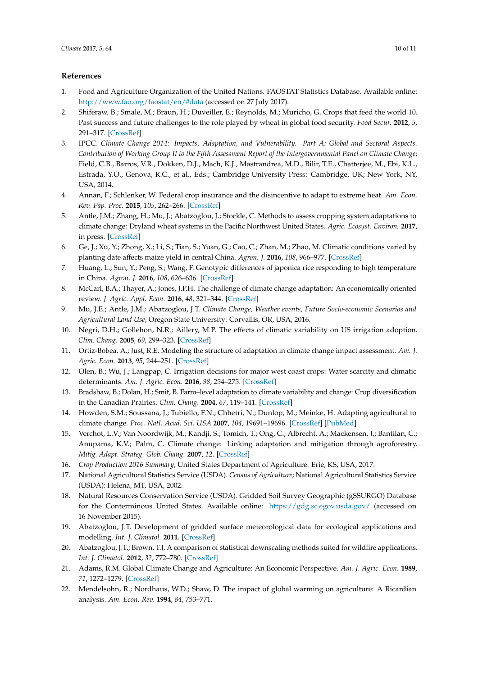## **References**

- <span id="page-9-0"></span>1. Food and Agriculture Organization of the United Nations. FAOSTAT Statistics Database. Available online: <http://www.fao.org/faostat/en/#data> (accessed on 27 July 2017).
- <span id="page-9-1"></span>2. Shiferaw, B.; Smale, M.; Braun, H.; Duveiller, E.; Reynolds, M.; Muricho, G. Crops that feed the world 10. Past success and future challenges to the role played by wheat in global food security. *Food Secur.* **2012**, *5*, 291–317. [\[CrossRef\]](http://dx.doi.org/10.1007/s12571-013-0263-y)
- <span id="page-9-2"></span>3. IPCC. *Climate Change 2014: Impacts, Adaptation, and Vulnerability. Part A: Global and Sectoral Aspects. Contribution of Working Group II to the Fifth Assessment Report of the Intergovernmental Panel on Climate Change*; Field, C.B., Barros, V.R., Dokken, D.J., Mach, K.J., Mastrandrea, M.D., Bilir, T.E., Chatterjee, M., Ebi, K.L., Estrada, Y.O., Genova, R.C., et al., Eds.; Cambridge University Press: Cambridge, UK; New York, NY, USA, 2014.
- <span id="page-9-3"></span>4. Annan, F.; Schlenker, W. Federal crop insurance and the disincentive to adapt to extreme heat. *Am. Econ. Rev. Pap. Proc.* **2015**, *105*, 262–266. [\[CrossRef\]](http://dx.doi.org/10.1257/aer.p20151031)
- <span id="page-9-8"></span>5. Antle, J.M.; Zhang, H.; Mu, J.; Abatzoglou, J.; Stockle, C. Methods to assess cropping system adaptations to climate change: Dryland wheat systems in the Pacific Northwest United States. *Agric. Ecosyst. Environ.* **2017**, in press. [\[CrossRef\]](http://dx.doi.org/10.1016/j.agee.2017.03.017)
- 6. Ge, J.; Xu, Y.; Zhong, X.; Li, S.; Tian, S.; Yuan, G.; Cao, C.; Zhan, M.; Zhao, M. Climatic conditions varied by planting date affects maize yield in central China. *Agron. J.* **2016**, *108*, 966–977. [\[CrossRef\]](http://dx.doi.org/10.2134/agronj2015.0458)
- 7. Huang, L.; Sun, Y.; Peng, S.; Wang, F. Genotypic differences of japonica rice responding to high temperature in China. *Agron. J.* **2016**, *108*, 626–636. [\[CrossRef\]](http://dx.doi.org/10.2134/agronj2015.0507)
- 8. McCarl, B.A.; Thayer, A.; Jones, J.P.H. The challenge of climate change adaptation: An economically oriented review. *J. Agric. Appl. Econ.* **2016**, *48*, 321–344. [\[CrossRef\]](http://dx.doi.org/10.1017/aae.2016.27)
- 9. Mu, J.E.; Antle, J.M.; Abatzoglou, J.T. *Climate Change, Weather events, Future Socio-economic Scenarios and Agricultural Land Use*; Oregon State University: Corvallis, OR, USA, 2016.
- <span id="page-9-15"></span>10. Negri, D.H.; Gollehon, N.R.; Aillery, M.P. The effects of climatic variability on US irrigation adoption. *Clim. Chang.* **2005**, *69*, 299–323. [\[CrossRef\]](http://dx.doi.org/10.1007/s10584-005-1817-6)
- 11. Ortiz-Bobea, A.; Just, R.E. Modeling the structure of adaptation in climate change impact assessment. *Am. J. Agric. Econ.* **2013**, *95*, 244–251. [\[CrossRef\]](http://dx.doi.org/10.1093/ajae/aas035)
- <span id="page-9-4"></span>12. Olen, B.; Wu, J.; Langpap, C. Irrigation decisions for major west coast crops: Water scarcity and climatic determinants. *Am. J. Agric. Econ.* **2016**, *98*, 254–275. [\[CrossRef\]](http://dx.doi.org/10.1093/ajae/aav036)
- <span id="page-9-5"></span>13. Bradshaw, B.; Dolan, H.; Smit, B. Farm–level adaptation to climate variability and change: Crop diversification in the Canadian Prairies. *Clim. Chang.* **2004**, *67*, 119–141. [\[CrossRef\]](http://dx.doi.org/10.1007/s10584-004-0710-z)
- 14. Howden, S.M.; Soussana, J.; Tubiello, F.N.; Chhetri, N.; Dunlop, M.; Meinke, H. Adapting agricultural to climate change. *Proc. Natl. Acad. Sci. USA* **2007**, *104*, 19691–19696. [\[CrossRef\]](http://dx.doi.org/10.1073/pnas.0701890104) [\[PubMed\]](http://www.ncbi.nlm.nih.gov/pubmed/18077402)
- <span id="page-9-6"></span>15. Verchot, L.V.; Van Noordwijk, M.; Kandji, S.; Tomich, T.; Ong, C.; Albrecht, A.; Mackensen, J.; Bantilan, C.; Anupama, K.V.; Palm, C. Climate change: Linking adaptation and mitigation through agroforestry. *Mitig. Adapt. Strateg. Glob. Chang.* **2007**, *12*. [\[CrossRef\]](http://dx.doi.org/10.1007/s11027-007-9105-6)
- <span id="page-9-7"></span>16. *Crop Production 2016 Summary*; United States Department of Agriculture: Erie, KS, USA, 2017.
- <span id="page-9-9"></span>17. National Agricultural Statistics Service (USDA). *Census of Agriculture*; National Agricultural Statistics Service (USDA): Helena, MT, USA, 2002.
- <span id="page-9-10"></span>18. Natural Resources Conservation Service (USDA). Gridded Soil Survey Geographic (gSSURGO) Database for the Conterminous United States. Available online: <https://gdg.sc.egov.usda.gov/> (accessed on 16 November 2015).
- <span id="page-9-11"></span>19. Abatzoglou, J.T. Development of gridded surface meteorological data for ecological applications and modelling. *Int. J. Climatol.* **2011**. [\[CrossRef\]](http://dx.doi.org/10.1002/joc.3413)
- <span id="page-9-12"></span>20. Abatzoglou, J.T.; Brown, T.J. A comparison of statistical downscaling methods suited for wildfire applications. *Int. J. Climatol.* **2012**, *32*, 772–780. [\[CrossRef\]](http://dx.doi.org/10.1002/joc.2312)
- <span id="page-9-13"></span>21. Adams, R.M. Global Climate Change and Agriculture: An Economic Perspective. *Am. J. Agric. Econ.* **1989**, *71*, 1272–1279. [\[CrossRef\]](http://dx.doi.org/10.2307/1243120)
- <span id="page-9-14"></span>22. Mendelsohn, R.; Nordhaus, W.D.; Shaw, D. The impact of global warming on agriculture: A Ricardian analysis. *Am. Econ. Rev.* **1994**, *84*, 753–771.